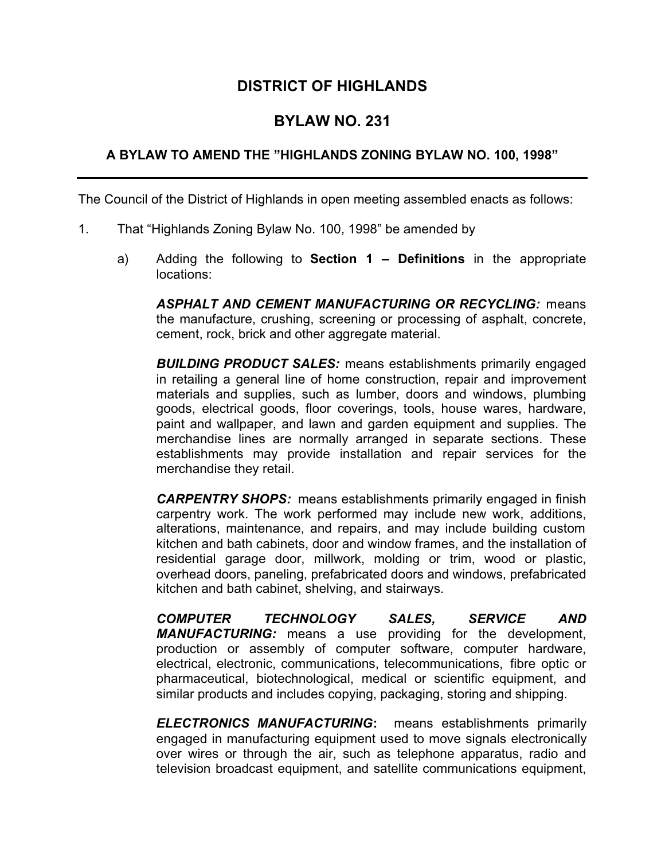# **DISTRICT OF HIGHLANDS**

# **BYLAW NO. 231**

#### **A BYLAW TO AMEND THE "HIGHLANDS ZONING BYLAW NO. 100, 1998"**

The Council of the District of Highlands in open meeting assembled enacts as follows:

- 1. That "Highlands Zoning Bylaw No. 100, 1998" be amended by
	- a) Adding the following to **Section 1 Definitions** in the appropriate locations:

*ASPHALT AND CEMENT MANUFACTURING OR RECYCLING:* means the manufacture, crushing, screening or processing of asphalt, concrete, cement, rock, brick and other aggregate material.

*BUILDING PRODUCT SALES:* means establishments primarily engaged in retailing a general line of home construction, repair and improvement materials and supplies, such as lumber, doors and windows, plumbing goods, electrical goods, floor coverings, tools, house wares, hardware, paint and wallpaper, and lawn and garden equipment and supplies. The merchandise lines are normally arranged in separate sections. These establishments may provide installation and repair services for the merchandise they retail.

*CARPENTRY SHOPS:* means establishments primarily engaged in finish carpentry work. The work performed may include new work, additions, alterations, maintenance, and repairs, and may include building custom kitchen and bath cabinets, door and window frames, and the installation of residential garage door, millwork, molding or trim, wood or plastic, overhead doors, paneling, prefabricated doors and windows, prefabricated kitchen and bath cabinet, shelving, and stairways.

*COMPUTER TECHNOLOGY SALES, SERVICE AND MANUFACTURING:* means a use providing for the development, production or assembly of computer software, computer hardware, electrical, electronic, communications, telecommunications, fibre optic or pharmaceutical, biotechnological, medical or scientific equipment, and similar products and includes copying, packaging, storing and shipping.

*ELECTRONICS MANUFACTURING***:** means establishments primarily engaged in manufacturing equipment used to move signals electronically over wires or through the air, such as telephone apparatus, radio and television broadcast equipment, and satellite communications equipment,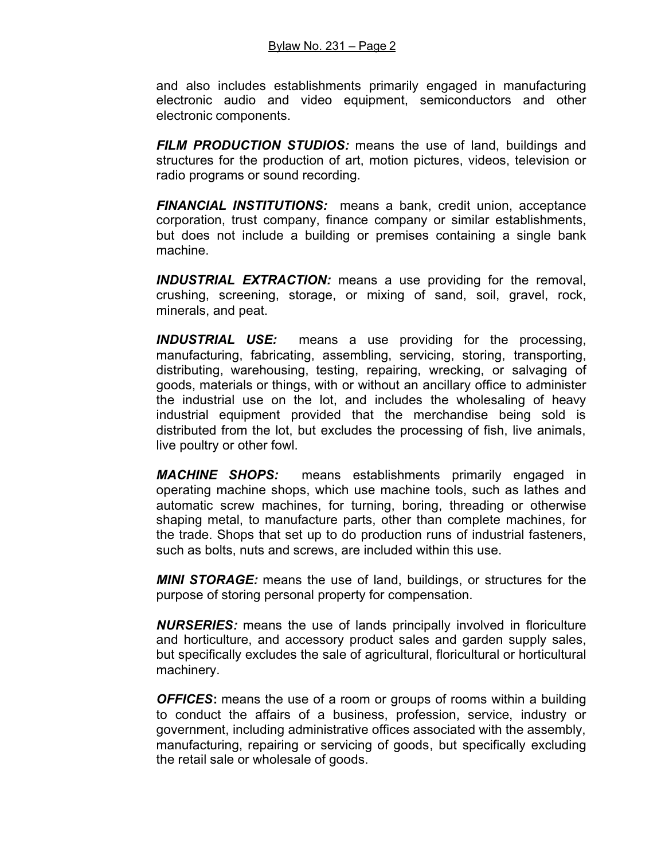#### Bylaw No. 231 – Page 2

and also includes establishments primarily engaged in manufacturing electronic audio and video equipment, semiconductors and other electronic components.

*FILM PRODUCTION STUDIOS:* means the use of land, buildings and structures for the production of art, motion pictures, videos, television or radio programs or sound recording.

*FINANCIAL INSTITUTIONS:* means a bank, credit union, acceptance corporation, trust company, finance company or similar establishments, but does not include a building or premises containing a single bank machine.

*INDUSTRIAL EXTRACTION:* means a use providing for the removal, crushing, screening, storage, or mixing of sand, soil, gravel, rock, minerals, and peat.

*INDUSTRIAL USE:* means a use providing for the processing, manufacturing, fabricating, assembling, servicing, storing, transporting, distributing, warehousing, testing, repairing, wrecking, or salvaging of goods, materials or things, with or without an ancillary office to administer the industrial use on the lot, and includes the wholesaling of heavy industrial equipment provided that the merchandise being sold is distributed from the lot, but excludes the processing of fish, live animals, live poultry or other fowl.

*MACHINE SHOPS:* means establishments primarily engaged in operating machine shops, which use machine tools, such as lathes and automatic screw machines, for turning, boring, threading or otherwise shaping metal, to manufacture parts, other than complete machines, for the trade. Shops that set up to do production runs of industrial fasteners, such as bolts, nuts and screws, are included within this use.

*MINI STORAGE:* means the use of land, buildings, or structures for the purpose of storing personal property for compensation.

*NURSERIES:* means the use of lands principally involved in floriculture and horticulture, and accessory product sales and garden supply sales, but specifically excludes the sale of agricultural, floricultural or horticultural machinery.

*OFFICES***:** means the use of a room or groups of rooms within a building to conduct the affairs of a business, profession, service, industry or government, including administrative offices associated with the assembly, manufacturing, repairing or servicing of goods, but specifically excluding the retail sale or wholesale of goods.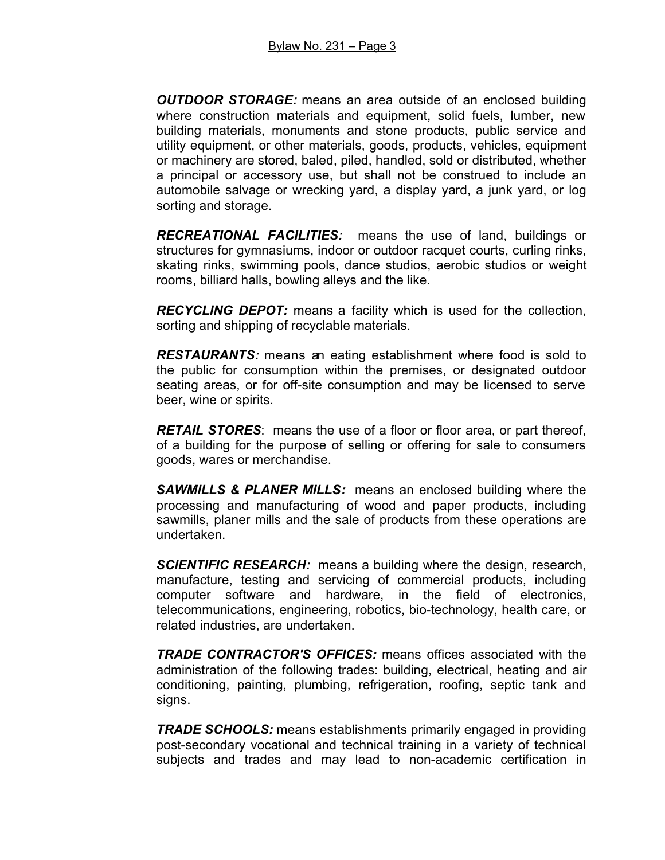*OUTDOOR STORAGE:* means an area outside of an enclosed building where construction materials and equipment, solid fuels, lumber, new building materials, monuments and stone products, public service and utility equipment, or other materials, goods, products, vehicles, equipment or machinery are stored, baled, piled, handled, sold or distributed, whether a principal or accessory use, but shall not be construed to include an automobile salvage or wrecking yard, a display yard, a junk yard, or log sorting and storage.

*RECREATIONAL FACILITIES:* means the use of land, buildings or structures for gymnasiums, indoor or outdoor racquet courts, curling rinks, skating rinks, swimming pools, dance studios, aerobic studios or weight rooms, billiard halls, bowling alleys and the like.

*RECYCLING DEPOT:* means a facility which is used for the collection, sorting and shipping of recyclable materials.

*RESTAURANTS:* means an eating establishment where food is sold to the public for consumption within the premises, or designated outdoor seating areas, or for off-site consumption and may be licensed to serve beer, wine or spirits.

*RETAIL STORES*: means the use of a floor or floor area, or part thereof, of a building for the purpose of selling or offering for sale to consumers goods, wares or merchandise.

*SAWMILLS & PLANER MILLS:* means an enclosed building where the processing and manufacturing of wood and paper products, including sawmills, planer mills and the sale of products from these operations are undertaken.

*SCIENTIFIC RESEARCH:* means a building where the design, research, manufacture, testing and servicing of commercial products, including computer software and hardware, in the field of electronics, telecommunications, engineering, robotics, bio-technology, health care, or related industries, are undertaken.

*TRADE CONTRACTOR'S OFFICES:* means offices associated with the administration of the following trades: building, electrical, heating and air conditioning, painting, plumbing, refrigeration, roofing, septic tank and signs.

*TRADE SCHOOLS:* means establishments primarily engaged in providing post-secondary vocational and technical training in a variety of technical subjects and trades and may lead to non-academic certification in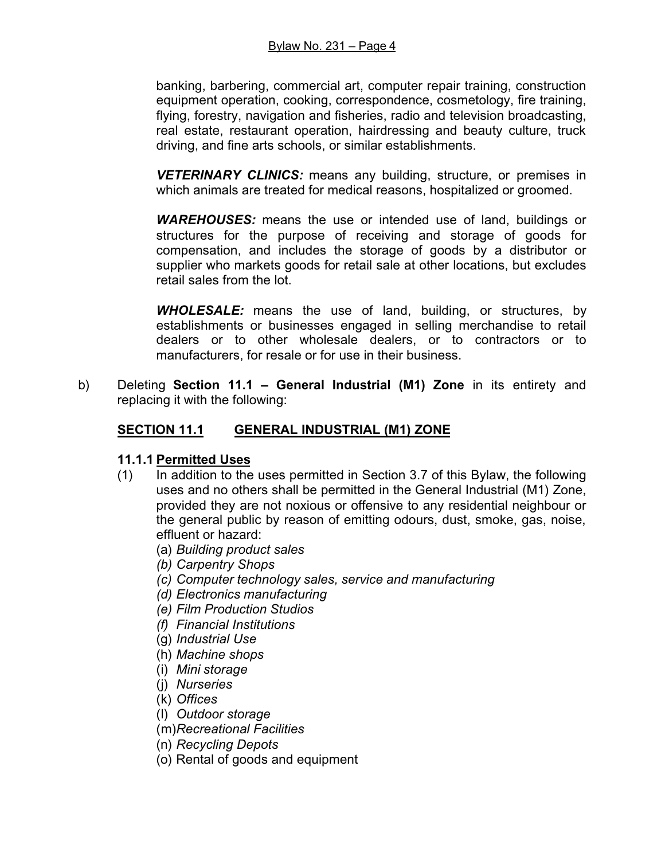banking, barbering, commercial art, computer repair training, construction equipment operation, cooking, correspondence, cosmetology, fire training, flying, forestry, navigation and fisheries, radio and television broadcasting, real estate, restaurant operation, hairdressing and beauty culture, truck driving, and fine arts schools, or similar establishments.

*VETERINARY CLINICS:* means any building, structure, or premises in which animals are treated for medical reasons, hospitalized or groomed.

*WAREHOUSES:* means the use or intended use of land, buildings or structures for the purpose of receiving and storage of goods for compensation, and includes the storage of goods by a distributor or supplier who markets goods for retail sale at other locations, but excludes retail sales from the lot.

*WHOLESALE:* means the use of land, building, or structures, by establishments or businesses engaged in selling merchandise to retail dealers or to other wholesale dealers, or to contractors or to manufacturers, for resale or for use in their business.

b) Deleting **Section 11.1 – General Industrial (M1) Zone** in its entirety and replacing it with the following:

# **SECTION 11.1 GENERAL INDUSTRIAL (M1) ZONE**

### **11.1.1 Permitted Uses**

- (1) In addition to the uses permitted in Section 3.7 of this Bylaw, the following uses and no others shall be permitted in the General Industrial (M1) Zone, provided they are not noxious or offensive to any residential neighbour or the general public by reason of emitting odours, dust, smoke, gas, noise, effluent or hazard:
	- (a) *Building product sales*
	- *(b) Carpentry Shops*
	- *(c) Computer technology sales, service and manufacturing*
	- *(d) Electronics manufacturing*
	- *(e) Film Production Studios*
	- *(f) Financial Institutions*
	- (g) *Industrial Use*
	- (h) *Machine shops*
	- (i) *Mini storage*
	- (j) *Nurseries*
	- (k) *Offices*
	- (l) *Outdoor storage*
	- (m)*Recreational Facilities*
	- (n) *Recycling Depots*
	- (o) Rental of goods and equipment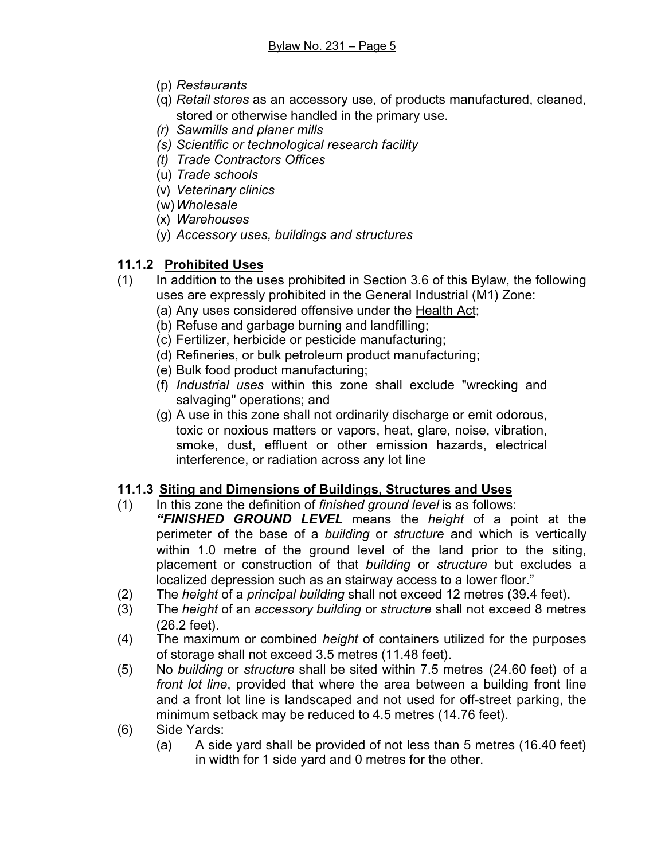- (p) *Restaurants*
- (q) *Retail stores* as an accessory use, of products manufactured, cleaned, stored or otherwise handled in the primary use.
- *(r) Sawmills and planer mills*
- *(s) Scientific or technological research facility*
- *(t) Trade Contractors Offices*
- (u) *Trade schools*
- (v) *Veterinary clinics*
- (w)*Wholesale*
- (x) *Warehouses*
- (y) *Accessory uses, buildings and structures*

# **11.1.2 Prohibited Uses**

- (1) In addition to the uses prohibited in Section 3.6 of this Bylaw, the following uses are expressly prohibited in the General Industrial (M1) Zone:
	- (a) Any uses considered offensive under the Health Act;
	- (b) Refuse and garbage burning and landfilling;
	- (c) Fertilizer, herbicide or pesticide manufacturing;
	- (d) Refineries, or bulk petroleum product manufacturing;
	- (e) Bulk food product manufacturing;
	- (f) *Industrial uses* within this zone shall exclude "wrecking and salvaging" operations; and
	- (g) A use in this zone shall not ordinarily discharge or emit odorous, toxic or noxious matters or vapors, heat, glare, noise, vibration, smoke, dust, effluent or other emission hazards, electrical interference, or radiation across any lot line

# **11.1.3 Siting and Dimensions of Buildings, Structures and Uses**

- (1) In this zone the definition of *finished ground level* is as follows:
	- *"FINISHED GROUND LEVEL* means the *height* of a point at the perimeter of the base of a *building* or *structure* and which is vertically within 1.0 metre of the ground level of the land prior to the siting, placement or construction of that *building* or *structure* but excludes a localized depression such as an stairway access to a lower floor."
- (2) The *height* of a *principal building* shall not exceed 12 metres (39.4 feet).
- (3) The *height* of an *accessory building* or *structure* shall not exceed 8 metres (26.2 feet).
- (4) The maximum or combined *height* of containers utilized for the purposes of storage shall not exceed 3.5 metres (11.48 feet).
- (5) No *building* or *structure* shall be sited within 7.5 metres (24.60 feet) of a *front lot line*, provided that where the area between a building front line and a front lot line is landscaped and not used for off-street parking, the minimum setback may be reduced to 4.5 metres (14.76 feet).
- (6) Side Yards:
	- (a) A side yard shall be provided of not less than 5 metres (16.40 feet) in width for 1 side yard and 0 metres for the other.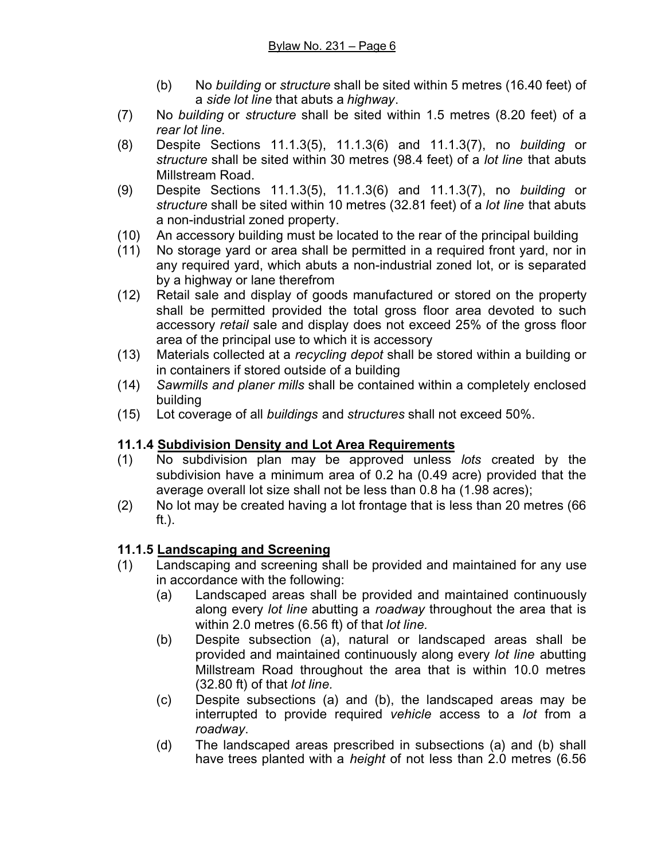- (b) No *building* or *structure* shall be sited within 5 metres (16.40 feet) of a *side lot line* that abuts a *highway*.
- (7) No *building* or *structure* shall be sited within 1.5 metres (8.20 feet) of a *rear lot line*.
- (8) Despite Sections 11.1.3(5), 11.1.3(6) and 11.1.3(7), no *building* or *structure* shall be sited within 30 metres (98.4 feet) of a *lot line* that abuts Millstream Road.
- (9) Despite Sections 11.1.3(5), 11.1.3(6) and 11.1.3(7), no *building* or *structure* shall be sited within 10 metres (32.81 feet) of a *lot line* that abuts a non-industrial zoned property.
- (10) An accessory building must be located to the rear of the principal building
- (11) No storage yard or area shall be permitted in a required front yard, nor in any required yard, which abuts a non-industrial zoned lot, or is separated by a highway or lane therefrom
- (12) Retail sale and display of goods manufactured or stored on the property shall be permitted provided the total gross floor area devoted to such accessory *retail* sale and display does not exceed 25% of the gross floor area of the principal use to which it is accessory
- (13) Materials collected at a *recycling depot* shall be stored within a building or in containers if stored outside of a building
- (14) *Sawmills and planer mills* shall be contained within a completely enclosed building
- (15) Lot coverage of all *buildings* and *structures* shall not exceed 50%.

# **11.1.4 Subdivision Density and Lot Area Requirements**

- (1) No subdivision plan may be approved unless *lots* created by the subdivision have a minimum area of 0.2 ha (0.49 acre) provided that the average overall lot size shall not be less than 0.8 ha (1.98 acres);
- (2) No lot may be created having a lot frontage that is less than 20 metres (66 ft.).

# **11.1.5 Landscaping and Screening**

- (1) Landscaping and screening shall be provided and maintained for any use in accordance with the following:
	- (a) Landscaped areas shall be provided and maintained continuously along every *lot line* abutting a *roadway* throughout the area that is within 2.0 metres (6.56 ft) of that *lot line.*
	- (b) Despite subsection (a), natural or landscaped areas shall be provided and maintained continuously along every *lot line* abutting Millstream Road throughout the area that is within 10.0 metres (32.80 ft) of that *lot line.*
	- (c) Despite subsections (a) and (b), the landscaped areas may be interrupted to provide required *vehicle* access to a *lot* from a *roadway*.
	- (d) The landscaped areas prescribed in subsections (a) and (b) shall have trees planted with a *height* of not less than 2.0 metres (6.56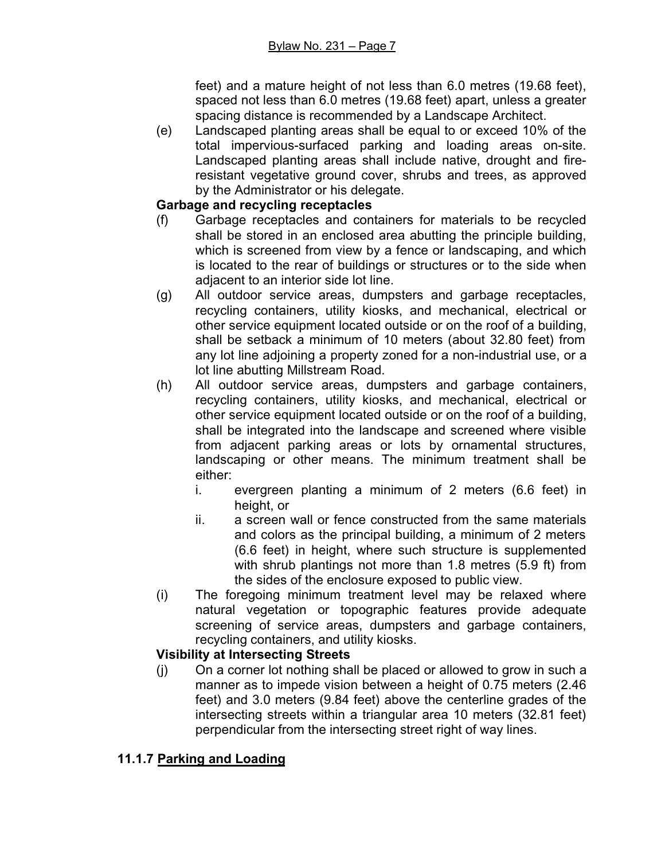feet) and a mature height of not less than 6.0 metres (19.68 feet), spaced not less than 6.0 metres (19.68 feet) apart, unless a greater spacing distance is recommended by a Landscape Architect.

(e) Landscaped planting areas shall be equal to or exceed 10% of the total impervious-surfaced parking and loading areas on-site. Landscaped planting areas shall include native, drought and fireresistant vegetative ground cover, shrubs and trees, as approved by the Administrator or his delegate.

### **Garbage and recycling receptacles**

- (f) Garbage receptacles and containers for materials to be recycled shall be stored in an enclosed area abutting the principle building, which is screened from view by a fence or landscaping, and which is located to the rear of buildings or structures or to the side when adjacent to an interior side lot line.
- (g) All outdoor service areas, dumpsters and garbage receptacles, recycling containers, utility kiosks, and mechanical, electrical or other service equipment located outside or on the roof of a building, shall be setback a minimum of 10 meters (about 32.80 feet) from any lot line adjoining a property zoned for a non-industrial use, or a lot line abutting Millstream Road.
- (h) All outdoor service areas, dumpsters and garbage containers, recycling containers, utility kiosks, and mechanical, electrical or other service equipment located outside or on the roof of a building, shall be integrated into the landscape and screened where visible from adjacent parking areas or lots by ornamental structures, landscaping or other means. The minimum treatment shall be either:
	- i. evergreen planting a minimum of 2 meters (6.6 feet) in height, or
	- ii. a screen wall or fence constructed from the same materials and colors as the principal building, a minimum of 2 meters (6.6 feet) in height, where such structure is supplemented with shrub plantings not more than 1.8 metres (5.9 ft) from the sides of the enclosure exposed to public view.
- (i) The foregoing minimum treatment level may be relaxed where natural vegetation or topographic features provide adequate screening of service areas, dumpsters and garbage containers, recycling containers, and utility kiosks.

# **Visibility at Intersecting Streets**

(j) On a corner lot nothing shall be placed or allowed to grow in such a manner as to impede vision between a height of 0.75 meters (2.46 feet) and 3.0 meters (9.84 feet) above the centerline grades of the intersecting streets within a triangular area 10 meters (32.81 feet) perpendicular from the intersecting street right of way lines.

# **11.1.7 Parking and Loading**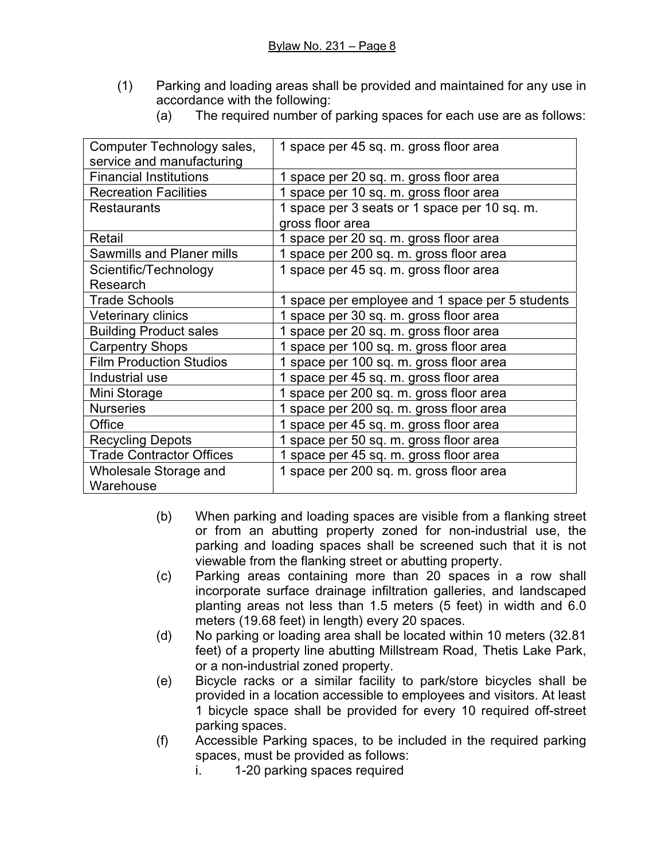(1) Parking and loading areas shall be provided and maintained for any use in accordance with the following:

| (a) |  |  |  | The required number of parking spaces for each use are as follows: |  |
|-----|--|--|--|--------------------------------------------------------------------|--|
|-----|--|--|--|--------------------------------------------------------------------|--|

| Computer Technology sales,       | 1 space per 45 sq. m. gross floor area          |  |  |
|----------------------------------|-------------------------------------------------|--|--|
| service and manufacturing        |                                                 |  |  |
| <b>Financial Institutions</b>    | 1 space per 20 sq. m. gross floor area          |  |  |
| <b>Recreation Facilities</b>     | 1 space per 10 sq. m. gross floor area          |  |  |
| <b>Restaurants</b>               | 1 space per 3 seats or 1 space per 10 sq. m.    |  |  |
|                                  | gross floor area                                |  |  |
| Retail                           | 1 space per 20 sq. m. gross floor area          |  |  |
| <b>Sawmills and Planer mills</b> | 1 space per 200 sq. m. gross floor area         |  |  |
| Scientific/Technology            | 1 space per 45 sq. m. gross floor area          |  |  |
| Research                         |                                                 |  |  |
| <b>Trade Schools</b>             | 1 space per employee and 1 space per 5 students |  |  |
| Veterinary clinics               | 1 space per 30 sq. m. gross floor area          |  |  |
| <b>Building Product sales</b>    | 1 space per 20 sq. m. gross floor area          |  |  |
| <b>Carpentry Shops</b>           | 1 space per 100 sq. m. gross floor area         |  |  |
| <b>Film Production Studios</b>   | 1 space per 100 sq. m. gross floor area         |  |  |
| Industrial use                   | 1 space per 45 sq. m. gross floor area          |  |  |
| Mini Storage                     | 1 space per 200 sq. m. gross floor area         |  |  |
| <b>Nurseries</b>                 | 1 space per 200 sq. m. gross floor area         |  |  |
| Office                           | 1 space per 45 sq. m. gross floor area          |  |  |
| <b>Recycling Depots</b>          | 1 space per 50 sq. m. gross floor area          |  |  |
| <b>Trade Contractor Offices</b>  | 1 space per 45 sq. m. gross floor area          |  |  |
| Wholesale Storage and            | 1 space per 200 sq. m. gross floor area         |  |  |
| Warehouse                        |                                                 |  |  |

- (b) When parking and loading spaces are visible from a flanking street or from an abutting property zoned for non-industrial use, the parking and loading spaces shall be screened such that it is not viewable from the flanking street or abutting property.
- (c) Parking areas containing more than 20 spaces in a row shall incorporate surface drainage infiltration galleries, and landscaped planting areas not less than 1.5 meters (5 feet) in width and 6.0 meters (19.68 feet) in length) every 20 spaces.
- (d) No parking or loading area shall be located within 10 meters (32.81 feet) of a property line abutting Millstream Road, Thetis Lake Park, or a non-industrial zoned property.
- (e) Bicycle racks or a similar facility to park/store bicycles shall be provided in a location accessible to employees and visitors. At least 1 bicycle space shall be provided for every 10 required off-street parking spaces.
- (f) Accessible Parking spaces, to be included in the required parking spaces, must be provided as follows:
	- i. 1-20 parking spaces required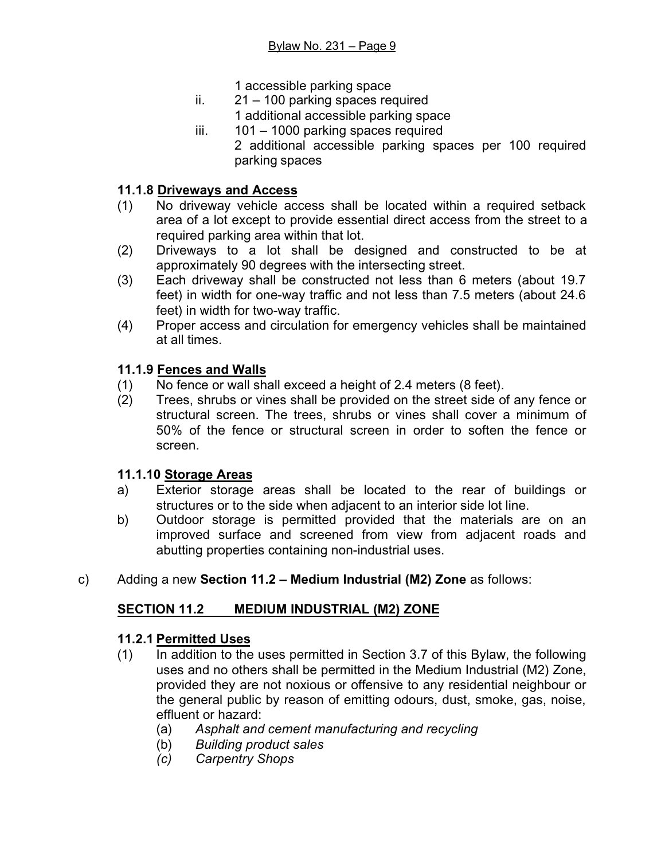1 accessible parking space

- ii. 21 100 parking spaces required 1 additional accessible parking space
- iii. 101 1000 parking spaces required

2 additional accessible parking spaces per 100 required parking spaces

#### **11.1.8 Driveways and Access**

- (1) No driveway vehicle access shall be located within a required setback area of a lot except to provide essential direct access from the street to a required parking area within that lot.
- (2) Driveways to a lot shall be designed and constructed to be at approximately 90 degrees with the intersecting street.
- (3) Each driveway shall be constructed not less than 6 meters (about 19.7 feet) in width for one-way traffic and not less than 7.5 meters (about 24.6 feet) in width for two-way traffic.
- (4) Proper access and circulation for emergency vehicles shall be maintained at all times.

#### **11.1.9 Fences and Walls**

- (1) No fence or wall shall exceed a height of 2.4 meters (8 feet).
- (2) Trees, shrubs or vines shall be provided on the street side of any fence or structural screen. The trees, shrubs or vines shall cover a minimum of 50% of the fence or structural screen in order to soften the fence or screen.

### **11.1.10 Storage Areas**

- a) Exterior storage areas shall be located to the rear of buildings or structures or to the side when adjacent to an interior side lot line.
- b) Outdoor storage is permitted provided that the materials are on an improved surface and screened from view from adjacent roads and abutting properties containing non-industrial uses.
- c) Adding a new **Section 11.2 Medium Industrial (M2) Zone** as follows:

### **SECTION 11.2 MEDIUM INDUSTRIAL (M2) ZONE**

### **11.2.1 Permitted Uses**

- (1) In addition to the uses permitted in Section 3.7 of this Bylaw, the following uses and no others shall be permitted in the Medium Industrial (M2) Zone, provided they are not noxious or offensive to any residential neighbour or the general public by reason of emitting odours, dust, smoke, gas, noise, effluent or hazard:
	- (a) *Asphalt and cement manufacturing and recycling*
	- (b) *Building product sales*
	- *(c) Carpentry Shops*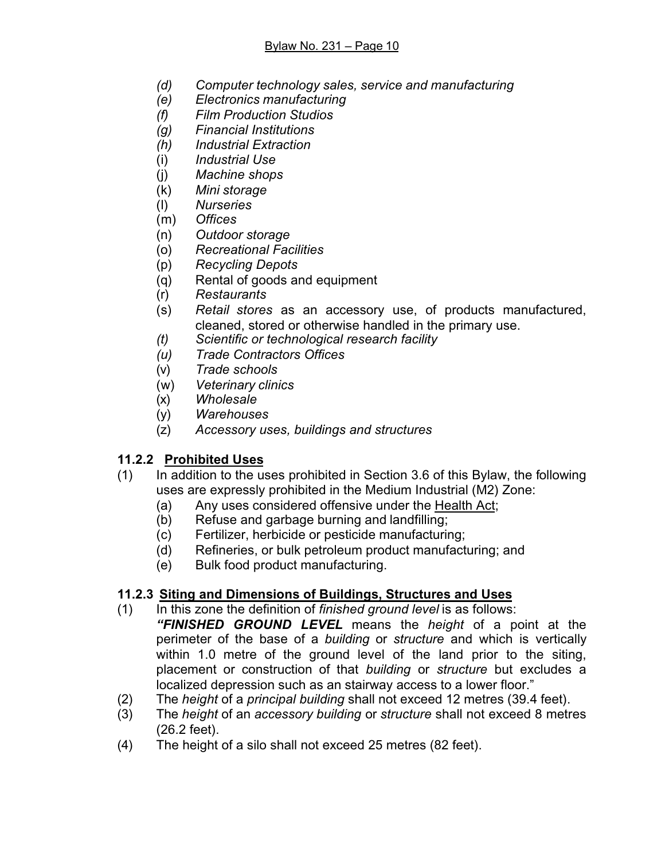- *(d) Computer technology sales, service and manufacturing*
- *(e) Electronics manufacturing*
- *(f) Film Production Studios*
- *(g) Financial Institutions*
- *(h) Industrial Extraction*
- (i) *Industrial Use*
- (j) *Machine shops*
- (k) *Mini storage*
- (l) *Nurseries*
- (m) *Offices*
- (n) *Outdoor storage*
- (o) *Recreational Facilities*
- (p) *Recycling Depots*
- (q) Rental of goods and equipment
- (r) *Restaurants*
- (s) *Retail stores* as an accessory use, of products manufactured, cleaned, stored or otherwise handled in the primary use.
- *(t) Scientific or technological research facility*
- *(u) Trade Contractors Offices*
- (v) *Trade schools*
- (w) *Veterinary clinics*
- (x) *Wholesale*
- (y) *Warehouses*
- (z) *Accessory uses, buildings and structures*

### **11.2.2 Prohibited Uses**

- (1) In addition to the uses prohibited in Section 3.6 of this Bylaw, the following uses are expressly prohibited in the Medium Industrial (M2) Zone:
	- (a) Any uses considered offensive under the Health Act;
	- (b) Refuse and garbage burning and landfilling;
	- (c) Fertilizer, herbicide or pesticide manufacturing;
	- (d) Refineries, or bulk petroleum product manufacturing; and
	- (e) Bulk food product manufacturing.

### **11.2.3 Siting and Dimensions of Buildings, Structures and Uses**

- (1) In this zone the definition of *finished ground level* is as follows:
- *"FINISHED GROUND LEVEL* means the *height* of a point at the perimeter of the base of a *building* or *structure* and which is vertically within 1.0 metre of the ground level of the land prior to the siting, placement or construction of that *building* or *structure* but excludes a localized depression such as an stairway access to a lower floor."
- (2) The *height* of a *principal building* shall not exceed 12 metres (39.4 feet).
- (3) The *height* of an *accessory building* or *structure* shall not exceed 8 metres (26.2 feet).
- (4) The height of a silo shall not exceed 25 metres (82 feet).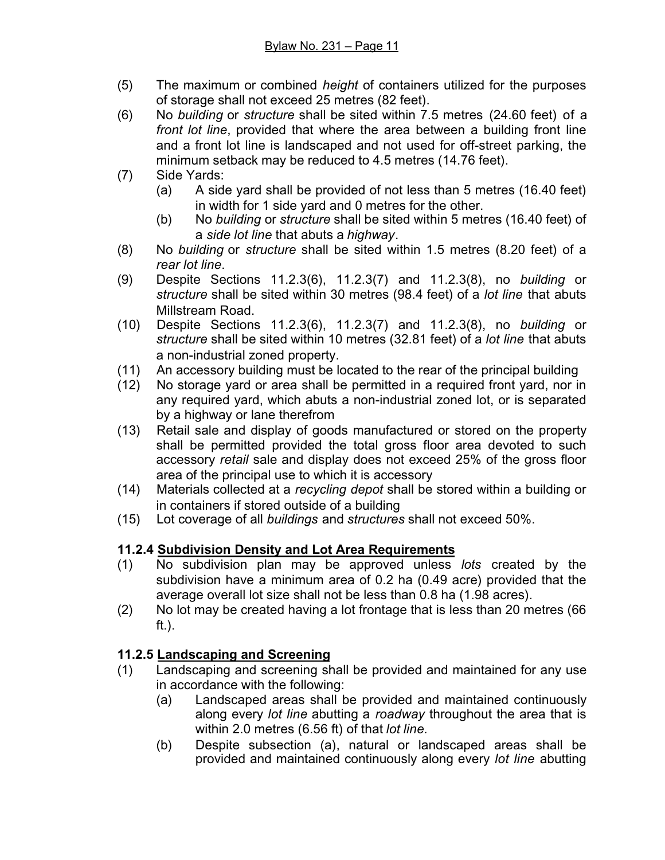- (5) The maximum or combined *height* of containers utilized for the purposes of storage shall not exceed 25 metres (82 feet).
- (6) No *building* or *structure* shall be sited within 7.5 metres (24.60 feet) of a *front lot line*, provided that where the area between a building front line and a front lot line is landscaped and not used for off-street parking, the minimum setback may be reduced to 4.5 metres (14.76 feet).
- (7) Side Yards:
	- (a) A side yard shall be provided of not less than 5 metres (16.40 feet) in width for 1 side yard and 0 metres for the other.
	- (b) No *building* or *structure* shall be sited within 5 metres (16.40 feet) of a *side lot line* that abuts a *highway*.
- (8) No *building* or *structure* shall be sited within 1.5 metres (8.20 feet) of a *rear lot line*.
- (9) Despite Sections 11.2.3(6), 11.2.3(7) and 11.2.3(8), no *building* or *structure* shall be sited within 30 metres (98.4 feet) of a *lot line* that abuts Millstream Road.
- (10) Despite Sections 11.2.3(6), 11.2.3(7) and 11.2.3(8), no *building* or *structure* shall be sited within 10 metres (32.81 feet) of a *lot line* that abuts a non-industrial zoned property.
- (11) An accessory building must be located to the rear of the principal building
- (12) No storage yard or area shall be permitted in a required front yard, nor in any required yard, which abuts a non-industrial zoned lot, or is separated by a highway or lane therefrom
- (13) Retail sale and display of goods manufactured or stored on the property shall be permitted provided the total gross floor area devoted to such accessory *retail* sale and display does not exceed 25% of the gross floor area of the principal use to which it is accessory
- (14) Materials collected at a *recycling depot* shall be stored within a building or in containers if stored outside of a building
- (15) Lot coverage of all *buildings* and *structures* shall not exceed 50%.

# **11.2.4 Subdivision Density and Lot Area Requirements**

- (1) No subdivision plan may be approved unless *lots* created by the subdivision have a minimum area of 0.2 ha (0.49 acre) provided that the average overall lot size shall not be less than 0.8 ha (1.98 acres).
- (2) No lot may be created having a lot frontage that is less than 20 metres (66 ft.).

# **11.2.5 Landscaping and Screening**

- (1) Landscaping and screening shall be provided and maintained for any use in accordance with the following:
	- (a) Landscaped areas shall be provided and maintained continuously along every *lot line* abutting a *roadway* throughout the area that is within 2.0 metres (6.56 ft) of that *lot line.*
	- (b) Despite subsection (a), natural or landscaped areas shall be provided and maintained continuously along every *lot line* abutting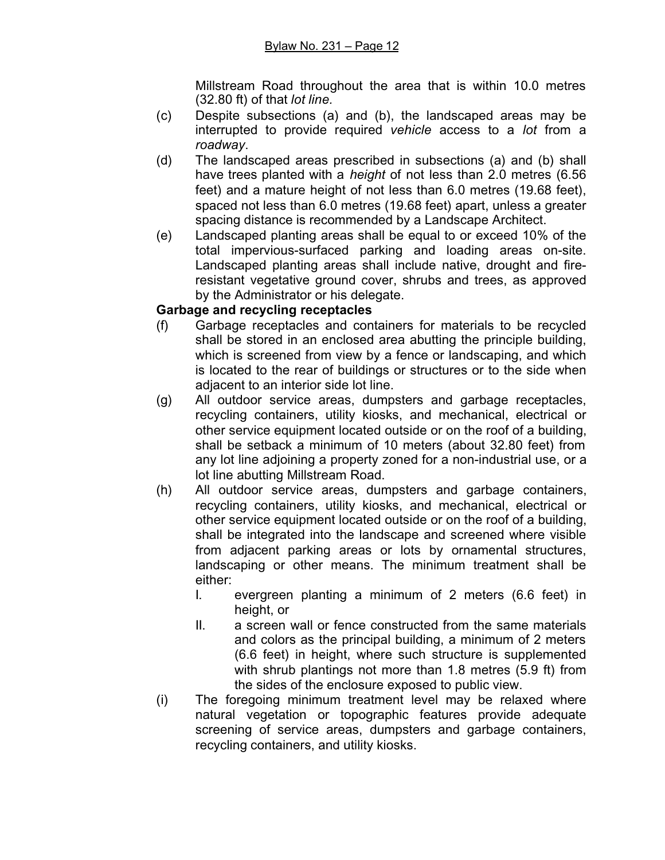Millstream Road throughout the area that is within 10.0 metres (32.80 ft) of that *lot line.*

- (c) Despite subsections (a) and (b), the landscaped areas may be interrupted to provide required *vehicle* access to a *lot* from a *roadway*.
- (d) The landscaped areas prescribed in subsections (a) and (b) shall have trees planted with a *height* of not less than 2.0 metres (6.56 feet) and a mature height of not less than 6.0 metres (19.68 feet), spaced not less than 6.0 metres (19.68 feet) apart, unless a greater spacing distance is recommended by a Landscape Architect.
- (e) Landscaped planting areas shall be equal to or exceed 10% of the total impervious-surfaced parking and loading areas on-site. Landscaped planting areas shall include native, drought and fireresistant vegetative ground cover, shrubs and trees, as approved by the Administrator or his delegate.

### **Garbage and recycling receptacles**

- (f) Garbage receptacles and containers for materials to be recycled shall be stored in an enclosed area abutting the principle building, which is screened from view by a fence or landscaping, and which is located to the rear of buildings or structures or to the side when adjacent to an interior side lot line.
- (g) All outdoor service areas, dumpsters and garbage receptacles, recycling containers, utility kiosks, and mechanical, electrical or other service equipment located outside or on the roof of a building, shall be setback a minimum of 10 meters (about 32.80 feet) from any lot line adjoining a property zoned for a non-industrial use, or a lot line abutting Millstream Road.
- (h) All outdoor service areas, dumpsters and garbage containers, recycling containers, utility kiosks, and mechanical, electrical or other service equipment located outside or on the roof of a building, shall be integrated into the landscape and screened where visible from adjacent parking areas or lots by ornamental structures, landscaping or other means. The minimum treatment shall be either:
	- I. evergreen planting a minimum of 2 meters (6.6 feet) in height, or
	- II. a screen wall or fence constructed from the same materials and colors as the principal building, a minimum of 2 meters (6.6 feet) in height, where such structure is supplemented with shrub plantings not more than 1.8 metres (5.9 ft) from the sides of the enclosure exposed to public view.
- (i) The foregoing minimum treatment level may be relaxed where natural vegetation or topographic features provide adequate screening of service areas, dumpsters and garbage containers, recycling containers, and utility kiosks.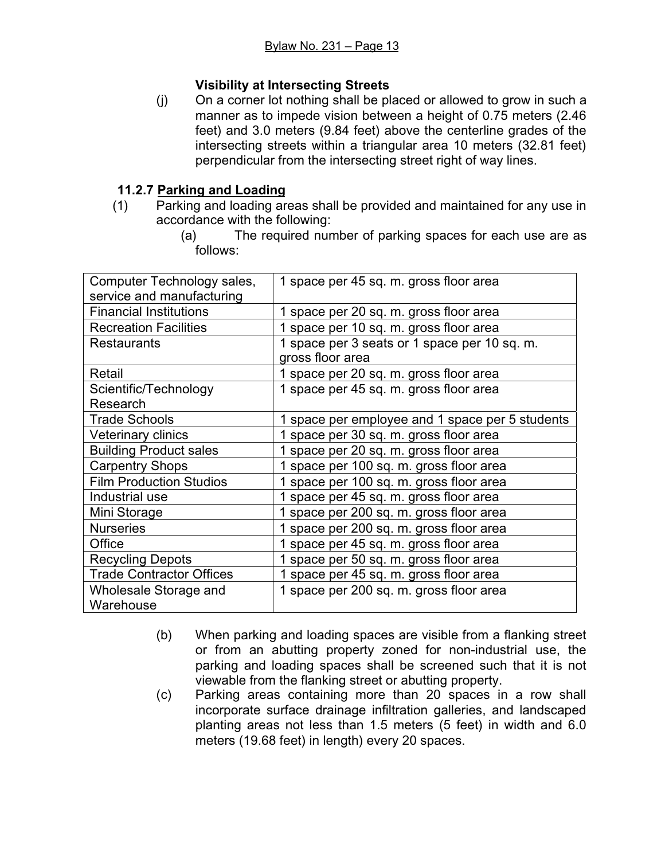### **Visibility at Intersecting Streets**

(j) On a corner lot nothing shall be placed or allowed to grow in such a manner as to impede vision between a height of 0.75 meters (2.46 feet) and 3.0 meters (9.84 feet) above the centerline grades of the intersecting streets within a triangular area 10 meters (32.81 feet) perpendicular from the intersecting street right of way lines.

### **11.2.7 Parking and Loading**

- (1) Parking and loading areas shall be provided and maintained for any use in accordance with the following:
	- (a) The required number of parking spaces for each use are as follows:

| Computer Technology sales,      | 1 space per 45 sq. m. gross floor area          |  |  |
|---------------------------------|-------------------------------------------------|--|--|
| service and manufacturing       |                                                 |  |  |
| <b>Financial Institutions</b>   | 1 space per 20 sq. m. gross floor area          |  |  |
| <b>Recreation Facilities</b>    | 1 space per 10 sq. m. gross floor area          |  |  |
| <b>Restaurants</b>              | 1 space per 3 seats or 1 space per 10 sq. m.    |  |  |
|                                 | gross floor area                                |  |  |
| Retail                          | 1 space per 20 sq. m. gross floor area          |  |  |
| Scientific/Technology           | 1 space per 45 sq. m. gross floor area          |  |  |
| Research                        |                                                 |  |  |
| <b>Trade Schools</b>            | 1 space per employee and 1 space per 5 students |  |  |
| Veterinary clinics              | 1 space per 30 sq. m. gross floor area          |  |  |
| <b>Building Product sales</b>   | 1 space per 20 sq. m. gross floor area          |  |  |
| <b>Carpentry Shops</b>          | 1 space per 100 sq. m. gross floor area         |  |  |
| <b>Film Production Studios</b>  | 1 space per 100 sq. m. gross floor area         |  |  |
| Industrial use                  | 1 space per 45 sq. m. gross floor area          |  |  |
| Mini Storage                    | 1 space per 200 sq. m. gross floor area         |  |  |
| <b>Nurseries</b>                | 1 space per 200 sq. m. gross floor area         |  |  |
| Office                          | 1 space per 45 sq. m. gross floor area          |  |  |
| <b>Recycling Depots</b>         | 1 space per 50 sq. m. gross floor area          |  |  |
| <b>Trade Contractor Offices</b> | 1 space per 45 sq. m. gross floor area          |  |  |
| Wholesale Storage and           | 1 space per 200 sq. m. gross floor area         |  |  |
| Warehouse                       |                                                 |  |  |

- (b) When parking and loading spaces are visible from a flanking street or from an abutting property zoned for non-industrial use, the parking and loading spaces shall be screened such that it is not viewable from the flanking street or abutting property.
- (c) Parking areas containing more than 20 spaces in a row shall incorporate surface drainage infiltration galleries, and landscaped planting areas not less than 1.5 meters (5 feet) in width and 6.0 meters (19.68 feet) in length) every 20 spaces.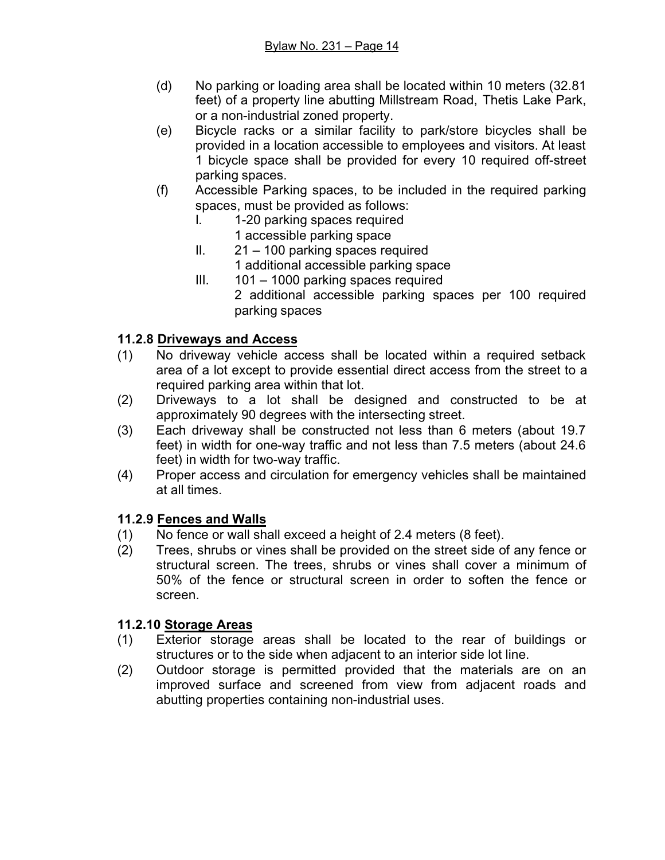- (d) No parking or loading area shall be located within 10 meters (32.81 feet) of a property line abutting Millstream Road, Thetis Lake Park, or a non-industrial zoned property.
- (e) Bicycle racks or a similar facility to park/store bicycles shall be provided in a location accessible to employees and visitors. At least 1 bicycle space shall be provided for every 10 required off-street parking spaces.
- (f) Accessible Parking spaces, to be included in the required parking spaces, must be provided as follows:
	- I. 1-20 parking spaces required 1 accessible parking space
	- II. 21 100 parking spaces required 1 additional accessible parking space
	- III. 101 1000 parking spaces required
		- 2 additional accessible parking spaces per 100 required parking spaces

# **11.2.8 Driveways and Access**

- (1) No driveway vehicle access shall be located within a required setback area of a lot except to provide essential direct access from the street to a required parking area within that lot.
- (2) Driveways to a lot shall be designed and constructed to be at approximately 90 degrees with the intersecting street.
- (3) Each driveway shall be constructed not less than 6 meters (about 19.7 feet) in width for one-way traffic and not less than 7.5 meters (about 24.6 feet) in width for two-way traffic.
- (4) Proper access and circulation for emergency vehicles shall be maintained at all times.

# **11.2.9 Fences and Walls**

- (1) No fence or wall shall exceed a height of 2.4 meters (8 feet).
- (2) Trees, shrubs or vines shall be provided on the street side of any fence or structural screen. The trees, shrubs or vines shall cover a minimum of 50% of the fence or structural screen in order to soften the fence or screen.

### **11.2.10 Storage Areas**

- (1) Exterior storage areas shall be located to the rear of buildings or structures or to the side when adjacent to an interior side lot line.
- (2) Outdoor storage is permitted provided that the materials are on an improved surface and screened from view from adjacent roads and abutting properties containing non-industrial uses.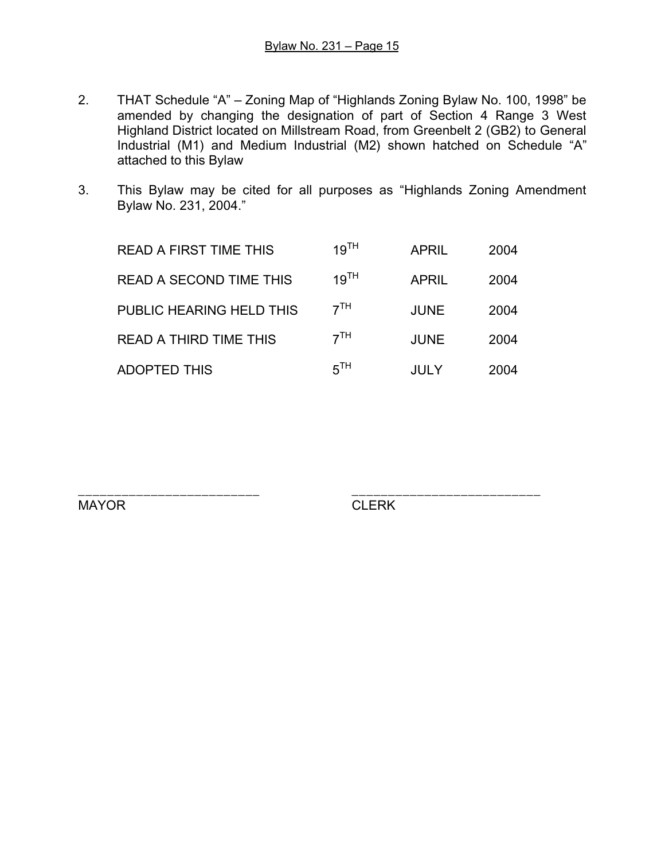- 2. THAT Schedule "A" Zoning Map of "Highlands Zoning Bylaw No. 100, 1998" be amended by changing the designation of part of Section 4 Range 3 West Highland District located on Millstream Road, from Greenbelt 2 (GB2) to General Industrial (M1) and Medium Industrial (M2) shown hatched on Schedule "A" attached to this Bylaw
- 3. This Bylaw may be cited for all purposes as "Highlands Zoning Amendment Bylaw No. 231, 2004."

| <b>READ A FIRST TIME THIS</b>  | 19 <sup>TH</sup> | <b>APRIL</b> | 2004 |
|--------------------------------|------------------|--------------|------|
| <b>READ A SECOND TIME THIS</b> | 19 <sup>TH</sup> | <b>APRIL</b> | 2004 |
| PUBLIC HEARING HELD THIS       | 7 <sup>TH</sup>  | <b>JUNE</b>  | 2004 |
| <b>READ A THIRD TIME THIS</b>  | 7 <sup>TH</sup>  | <b>JUNE</b>  | 2004 |
| <b>ADOPTED THIS</b>            | 5 <sup>TH</sup>  | JULY         | 2004 |

\_\_\_\_\_\_\_\_\_\_\_\_\_\_\_\_\_\_\_\_\_\_\_\_\_ \_\_\_\_\_\_\_\_\_\_\_\_\_\_\_\_\_\_\_\_\_\_\_\_\_\_ MAYOR CLERK